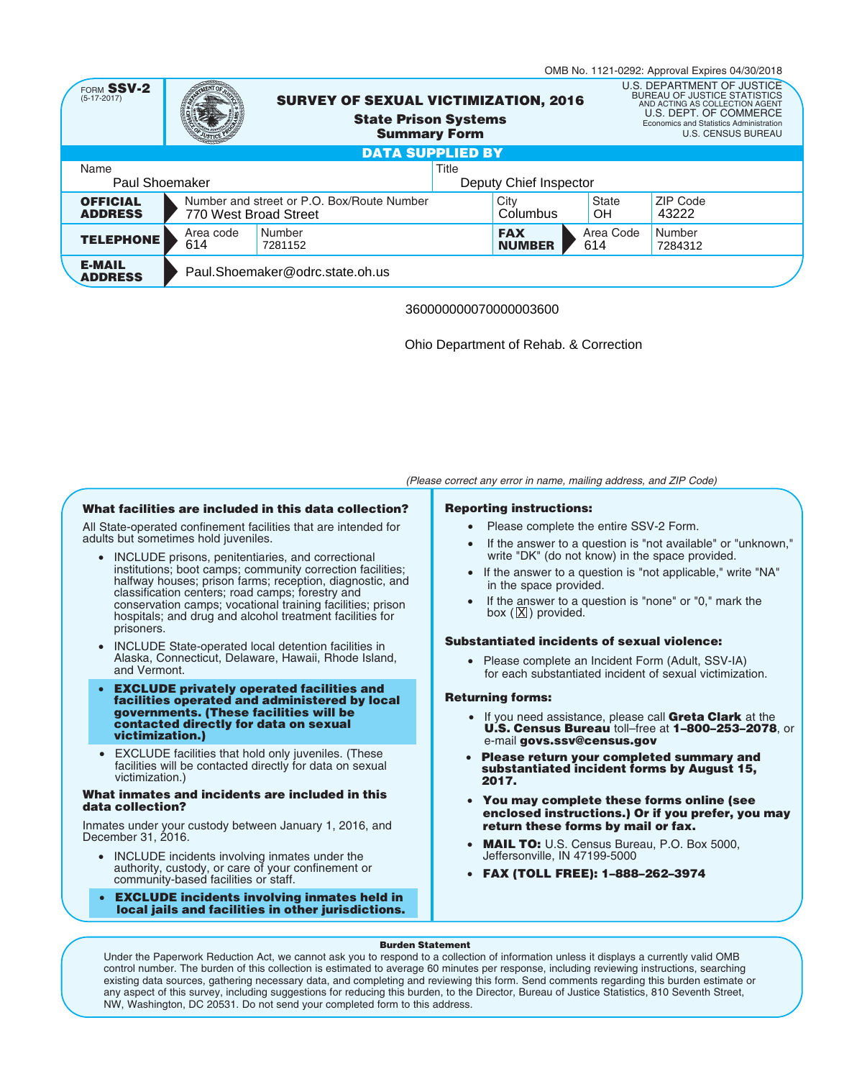|                                          |                       |                                                                                                   |  |                             |                    | OMB No. 1121-0292: Approval Expires 04/30/2018                                                                                                                                                        |
|------------------------------------------|-----------------------|---------------------------------------------------------------------------------------------------|--|-----------------------------|--------------------|-------------------------------------------------------------------------------------------------------------------------------------------------------------------------------------------------------|
| FORM SSV-2<br>$(5-17-2017)$              |                       | <b>SURVEY OF SEXUAL VICTIMIZATION, 2016</b><br><b>State Prison Systems</b><br><b>Summary Form</b> |  |                             |                    | U.S. DEPARTMENT OF JUSTICE<br><b>BUREAU OF JUSTICE STATISTICS</b><br>AND ACTING AS COLLECTION AGENT<br>U.S. DEPT. OF COMMERCE<br>Economics and Statistics Administration<br><b>U.S. CENSUS BUREAU</b> |
| <b>DATA SUPPLIED BY</b>                  |                       |                                                                                                   |  |                             |                    |                                                                                                                                                                                                       |
| Title<br>Name                            |                       |                                                                                                   |  |                             |                    |                                                                                                                                                                                                       |
| Paul Shoemaker<br>Deputy Chief Inspector |                       |                                                                                                   |  |                             |                    |                                                                                                                                                                                                       |
| <b>OFFICIAL</b><br><b>ADDRESS</b>        | 770 West Broad Street | Number and street or P.O. Box/Route Number                                                        |  | City<br>Columbus            | <b>State</b><br>OН | <b>ZIP Code</b><br>43222                                                                                                                                                                              |
| <b>TELEPHONE</b>                         | Area code<br>614      | Number<br>7281152                                                                                 |  | <b>FAX</b><br><b>NUMBER</b> | Area Code<br>614   | Number<br>7284312                                                                                                                                                                                     |
| <b>E-MAIL</b><br><b>ADDRESS</b>          |                       | Paul.Shoemaker@odrc.state.oh.us                                                                   |  |                             |                    |                                                                                                                                                                                                       |

## 360000000070000003600

Ohio Department of Rehab. & Correction

*(Please correct any error in name, mailing address, and ZIP Code)*

## **What facilities are included in this data collection?**

All State-operated confinement facilities that are intended for adults but sometimes hold juveniles.

- INCLUDE prisons, penitentiaries, and correctional institutions; boot camps; community correction facilities; halfway houses; prison farms; reception, diagnostic, and classification centers; road camps; forestry and conservation camps; vocational training facilities; prison hospitals; and drug and alcohol treatment facilities for prisoners.
- INCLUDE State-operated local detention facilities in Alaska, Connecticut, Delaware, Hawaii, Rhode Island, and Vermont.
- **EXCLUDE privately operated facilities and facilities operated and administered by local governments. (These facilities will be contacted directly for data on sexual victimization.)**
- EXCLUDE facilities that hold only juveniles. (These facilities will be contacted directly for data on sexual victimization.)

### **What inmates and incidents are included in this data collection?**

Inmates under your custody between January 1, 2016, and December 31, 2016.

- INCLUDE incidents involving inmates under the authority, custody, or care of your confinement or community-based facilities or staff.
- **EXCLUDE incidents involving inmates held in local jails and facilities in other jurisdictions.**

## **Reporting instructions:**

- Please complete the entire SSV-2 Form.
- If the answer to a question is "not available" or "unknown," write "DK" (do not know) in the space provided.
- If the answer to a question is "not applicable," write "NA" in the space provided.
- If the answer to a question is "none" or "0," mark the box  $(\overline{X})$  provided.

## **Substantiated incidents of sexual violence:**

• Please complete an Incident Form (Adult, SSV-IA) for each substantiated incident of sexual victimization.

## **Returning forms:**

- If you need assistance, please call **Greta Clark** at the **U.S. Census Bureau** toll–free at **1–800–253–2078**, or e-mail **govs.ssv@census.gov**
- **Please return your completed summary and substantiated incident forms by August 15, 2017.**
- **You may complete these forms online (see enclosed instructions.) Or if you prefer, you may return these forms by mail or fax.**
- **MAIL TO:** U.S. Census Bureau, P.O. Box 5000, Jeffersonville, IN 47199-5000
- **FAX (TOLL FREE): 1–888–262–3974**

### **Burden Statement**

Under the Paperwork Reduction Act, we cannot ask you to respond to a collection of information unless it displays a currently valid OMB control number. The burden of this collection is estimated to average 60 minutes per response, including reviewing instructions, searching existing data sources, gathering necessary data, and completing and reviewing this form. Send comments regarding this burden estimate or any aspect of this survey, including suggestions for reducing this burden, to the Director, Bureau of Justice Statistics, 810 Seventh Street, NW, Washington, DC 20531. Do not send your completed form to this address.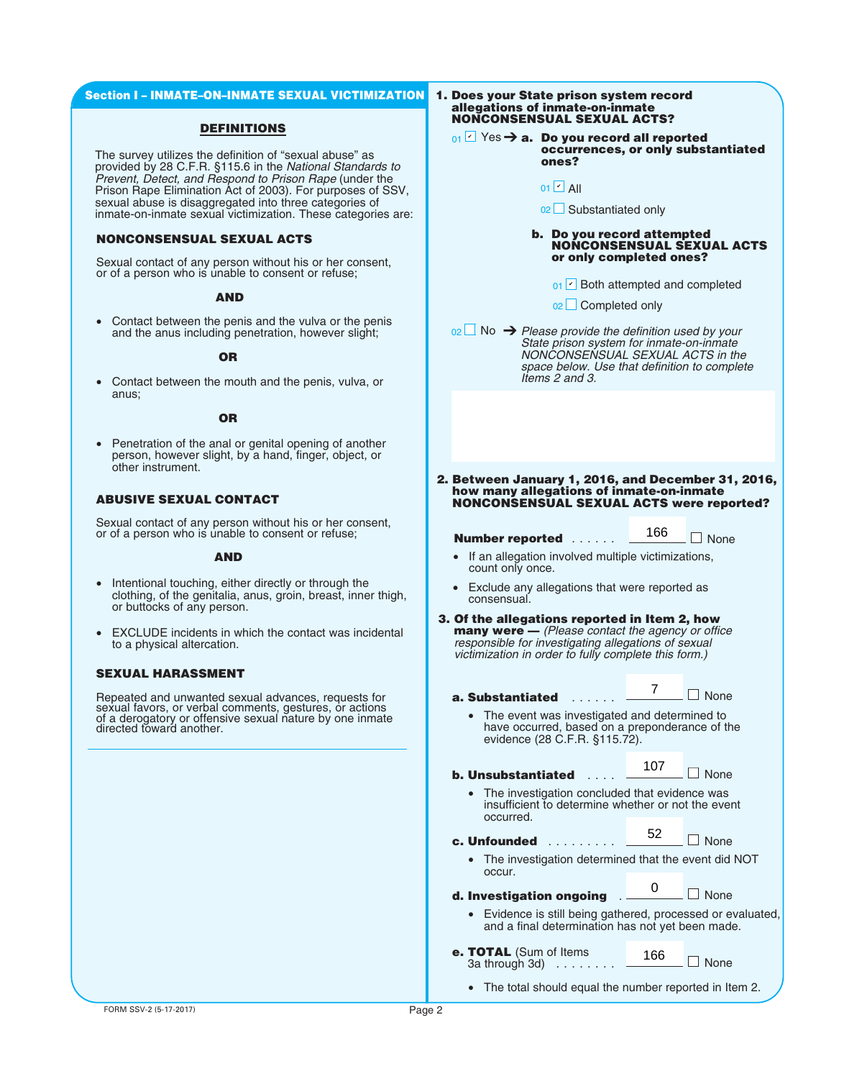#### **Section I – INMATE–ON–INMATE SEXUAL VICTIMIZATION**

### **DEFINITIONS**

The survey utilizes the definition of "sexual abuse" as provided by 28 C.F.R. §115.6 in the *National Standards to Prevent, Detect, and Respond to Prison Rape* (under the Prison Rape Elimination Act of 2003). For purposes of SSV, sexual abuse is disaggregated into three categories of inmate-on-inmate sexual victimization. These categories are:

# **NONCONSENSUAL SEXUAL ACTS**

Sexual contact of any person without his or her consent, or of a person who is unable to consent or refuse;

#### **AND**

• Contact between the penis and the vulva or the penis and the anus including penetration, however slight;

### **OR**

• Contact between the mouth and the penis, vulva, or anus;

### **OR**

• Penetration of the anal or genital opening of another person, however slight, by a hand, finger, object, or other instrument.

## **ABUSIVE SEXUAL CONTACT**

Sexual contact of any person without his or her consent, or of a person who is unable to consent or refuse;

#### **AND**

- Intentional touching, either directly or through the clothing, of the genitalia, anus, groin, breast, inner thigh, or buttocks of any person.
- EXCLUDE incidents in which the contact was incidental to a physical altercation.

### **SEXUAL HARASSMENT**

Repeated and unwanted sexual advances, requests for sexual favors, or verbal comments, gestures, or actions of a derogatory or offensive sexual nature by one inmate directed toward another.

#### **1. Does your State prison system record allegations of inmate-on-inmate NONCONSENSUAL SEXUAL ACTS?**

**01**  $\sqrt{ }$  Yes → **a.** Do you record all reported **occurrences, or only substantiated ones?**

01 <mark>ビ</mark> All

02∟ Substantiated only

#### **b. Do you record attempted NONCONSENSUAL SEXUAL ACTS or only completed ones?**

- $_{01}$   $\vee$  Both attempted and completed
- <sub>02</sub> ∟ Completed only

No ➔ *Please provide the definition used by your* 02 *State prison system for inmate-on-inmate NONCONSENSUAL SEXUAL ACTS in the space below. Use that definition to complete Items 2 and 3.* ■<br>
Both attempted<br>
■ Completed only<br>
rovide the definition<br>
system for inm<br>
NSENSUAL SEXU<br>
flow. Use that definition<br>
on SSENSUAL SEXU<br>
and 3.<br>
<br> **1, 2016, and Definition**<br> **166**<br> **166**<br>
SEXUAL ACTS<br>
<br>
secontact the age<br>  $\angle$  All<br>  $\Box$  Substantiated only<br> **Do you record att**<br> **NONCONSENSUA**<br>  $\Box$  Both attempted<br>  $\Box$  Eoth attempted<br>  $\Box$  Completed only<br>  $\Box$  Completed only<br>  $\Box$  Completed only<br>  $\Box$  Completed only<br>  $\Box$  Completed only<br>  $\$ 

- **2. Between January 1, 2016, and December 31, 2016, how many allegations of inmate-on-inmate NONCONSENSUAL SEXUAL ACTS were reported?**
	-
	- **Number reported** ...... <u>■ <sup>100</sup></u> None
	- If an allegation involved multiple victimizations, count only once.
	- Exclude any allegations that were reported as consensual.
- **3. Of the allegations reported in Item 2, how many were —** *(Please contact the agency or office responsible for investigating allegations of sexual victimization in order to fully complete this form.)*

**a. Substantiated** ......

**None** 7

166

The event was investigated and determined to have occurred, based on a preponderance of the evidence (28 C.F.R. §115.72).

**b. Unsubstantiated** ....

□ None 107

52

 $\Box$  None

The investigation concluded that evidence was insufficient to determine whether or not the event occurred.

**c. Unfounded** .........

• The investigation determined that the event did NOT occur.

| d. Investigation ongoing |  |  | $\Box$ None |
|--------------------------|--|--|-------------|
|                          |  |  |             |

- Evidence is still being gathered, processed or evaluated, and a final determination has not yet been made.
- **e. TOTAL** (Sum of Items 166  $\Box$  None  $3a$  through  $3d$  ......
	- The total should equal the number reported in Item 2.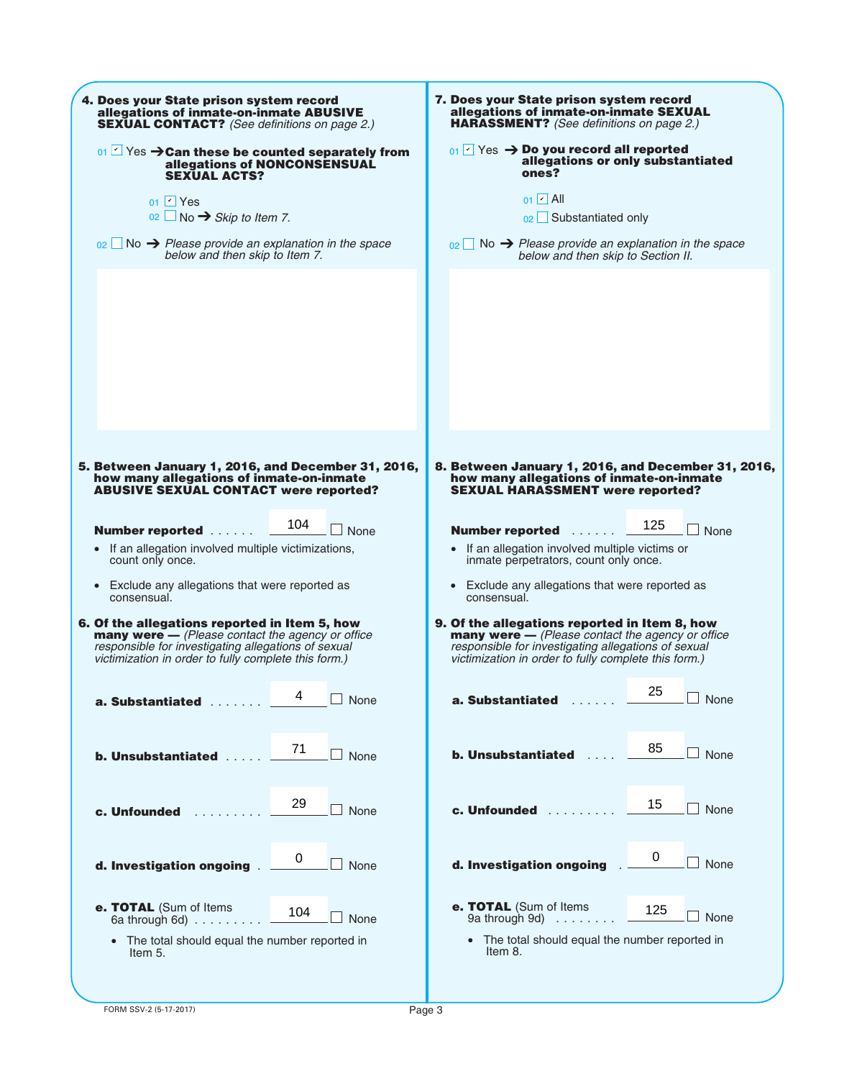| 4. Does your State prison system record                            | 7. Does your State prison system record                            |  |  |  |  |
|--------------------------------------------------------------------|--------------------------------------------------------------------|--|--|--|--|
| allegations of inmate-on-inmate ABUSIVE                            | allegations of inmate-on-inmate SEXUAL                             |  |  |  |  |
| <b>SEXUAL CONTACT?</b> (See definitions on page 2.)                | <b>HARASSMENT?</b> (See definitions on page 2.)                    |  |  |  |  |
| 01 $\leq$ Yes $\rightarrow$ Can these be counted separately from   | $_{01}$ $\sim$ Yes $\rightarrow$ Do you record all reported        |  |  |  |  |
| allegations of NONCONSENSUAL                                       | allegations or only substantiated                                  |  |  |  |  |
| <b>SEXUAL ACTS?</b>                                                | ones?                                                              |  |  |  |  |
| $01$ $\vee$ Yes                                                    | $01$ $ v $ All                                                     |  |  |  |  |
| $02 \Box$ No $\rightarrow$ Skip to Item 7.                         | 02 Substantiated only                                              |  |  |  |  |
| $\Box$ No $\rightarrow$ Please provide an explanation in the space | $\Box$ No $\rightarrow$ Please provide an explanation in the space |  |  |  |  |
| 02 <sup>1</sup>                                                    | 02 <sup>1</sup>                                                    |  |  |  |  |
| below and then skip to Item 7.                                     | below and then skip to Section II.                                 |  |  |  |  |
|                                                                    |                                                                    |  |  |  |  |
|                                                                    |                                                                    |  |  |  |  |
|                                                                    |                                                                    |  |  |  |  |
|                                                                    |                                                                    |  |  |  |  |
| 5. Between January 1, 2016, and December 31, 2016,                 | 8. Between January 1, 2016, and December 31, 2016,                 |  |  |  |  |
| how many allegations of inmate-on-inmate                           | how many allegations of inmate-on-inmate                           |  |  |  |  |
| <b>ABUSIVE SEXUAL CONTACT were reported?</b>                       | <b>SEXUAL HARASSMENT were reported?</b>                            |  |  |  |  |
| 104                                                                | 125                                                                |  |  |  |  |
| <b>Number reported </b>                                            | $\Box$ None                                                        |  |  |  |  |
| $\perp$ None                                                       | <b>Number reported</b>                                             |  |  |  |  |
| • If an allegation involved multiple victimizations,               | • If an allegation involved multiple victims or                    |  |  |  |  |
| count only once.                                                   | inmate perpetrators, count only once.                              |  |  |  |  |
| • Exclude any allegations that were reported as                    | Exclude any allegations that were reported as                      |  |  |  |  |
| consensual.                                                        | consensual.                                                        |  |  |  |  |
| 6. Of the allegations reported in Item 5, how                      | 9. Of the allegations reported in Item 8, how                      |  |  |  |  |
| <b>many were</b> $-$ (Please contact the agency or office          | <b>many were</b> - (Please contact the agency or office            |  |  |  |  |
| responsible for investigating allegations of sexual                | responsible for investigating allegations of sexual                |  |  |  |  |
| victimization in order to fully complete this form.)               | victimization in order to fully complete this form.)               |  |  |  |  |
| 4                                                                  | 25                                                                 |  |  |  |  |
| None                                                               | None                                                               |  |  |  |  |
| <b>a. Substantiated a.a.</b>                                       | a. Substantiated                                                   |  |  |  |  |
| 71                                                                 | 85                                                                 |  |  |  |  |
| None                                                               | $\Box$ None                                                        |  |  |  |  |
| <b>b. Unsubstantiated </b>                                         | <b>b. Unsubstantiated</b>                                          |  |  |  |  |
| 29                                                                 | 15                                                                 |  |  |  |  |
| None                                                               | $\Box$ None                                                        |  |  |  |  |
| c. Unfounded <b>c.</b>                                             | c. Unfounded                                                       |  |  |  |  |
| 0                                                                  | 0                                                                  |  |  |  |  |
| d. Investigation ongoing                                           | $\Box$ None                                                        |  |  |  |  |
| None                                                               | d. Investigation ongoing                                           |  |  |  |  |
| e. TOTAL (Sum of Items                                             | e. TOTAL (Sum of Items                                             |  |  |  |  |
| 104                                                                | 125                                                                |  |  |  |  |
| None                                                               | None                                                               |  |  |  |  |
| 6a through 6d) $\ldots \ldots \ldots$                              | 9a through 9d) $\ldots \ldots$                                     |  |  |  |  |
| • The total should equal the number reported in                    | • The total should equal the number reported in                    |  |  |  |  |
| Item 5.                                                            | Item 8.                                                            |  |  |  |  |
|                                                                    |                                                                    |  |  |  |  |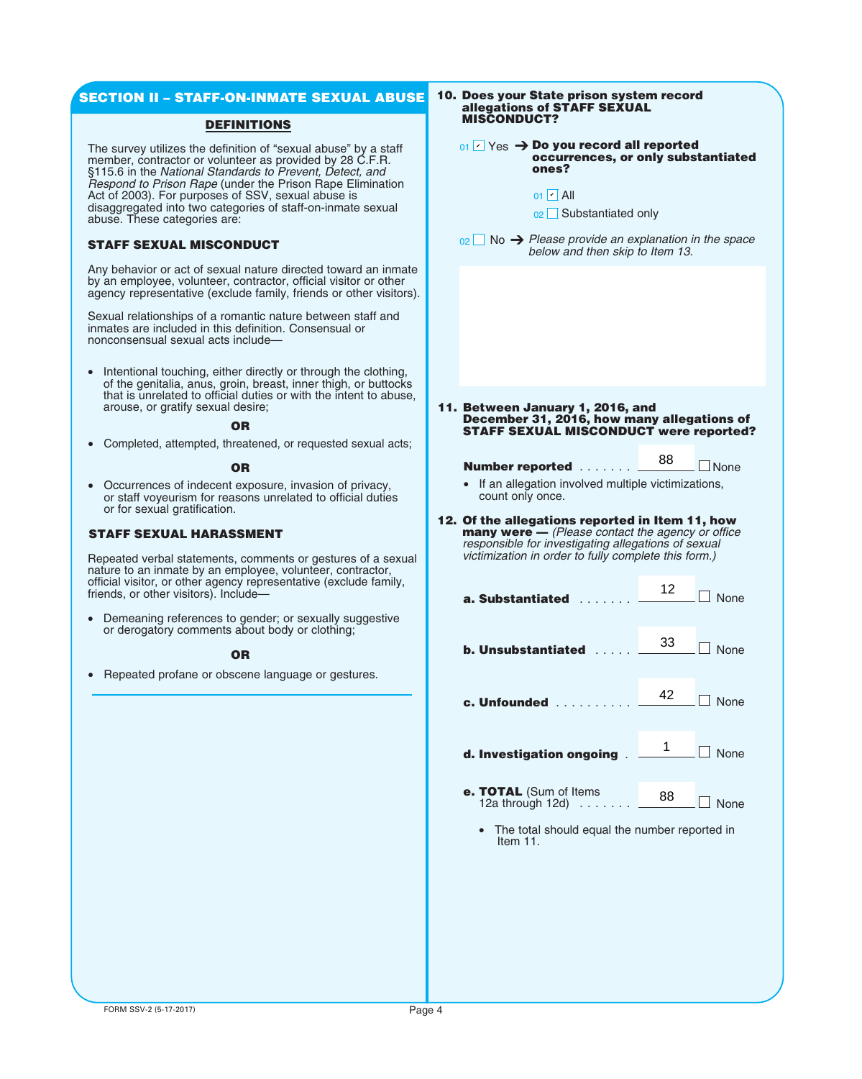## **SECTION II – STAFF-ON-INMATE SEXUAL ABUSE**

### **DEFINITIONS**

The survey utilizes the definition of "sexual abuse" by a staff member, contractor or volunteer as provided by 28 C.F.R. §115.6 in the *National Standards to Prevent, Detect, and Respond to Prison Rape* (under the Prison Rape Elimination Act of 2003). For purposes of SSV, sexual abuse is disaggregated into two categories of staff-on-inmate sexual abuse. These categories are:

## **STAFF SEXUAL MISCONDUCT**

Any behavior or act of sexual nature directed toward an inmate by an employee, volunteer, contractor, official visitor or other agency representative (exclude family, friends or other visitors).

Sexual relationships of a romantic nature between staff and inmates are included in this definition. Consensual or nonconsensual sexual acts include—

• Intentional touching, either directly or through the clothing, of the genitalia, anus, groin, breast, inner thigh, or buttocks that is unrelated to official duties or with the intent to abuse, arouse, or gratify sexual desire;

#### **OR**

• Completed, attempted, threatened, or requested sexual acts;

#### **OR**

• Occurrences of indecent exposure, invasion of privacy, or staff voyeurism for reasons unrelated to official duties or for sexual gratification.

### **STAFF SEXUAL HARASSMENT**

Repeated verbal statements, comments or gestures of a sexual nature to an inmate by an employee, volunteer, contractor, official visitor, or other agency representative (exclude family, friends, or other visitors). Include—

• Demeaning references to gender; or sexually suggestive or derogatory comments about body or clothing;

#### **OR**

• Repeated profane or obscene language or gestures.

#### **10. Does your State prison system record allegations of STAFF SEXUAL MISCONDUCT?**

### **01**  $\sqrt{2}$  Yes → Do you record all reported **occurrences, or only substantiated ones?**

#### **11. Between January 1, 2016, and December 31, 2016, how many allegations of STAFF SEXUAL MISCONDUCT were reported?**

#### **Number reported** ....... None 88

- If an allegation involved multiple victimizations, count only once.
- **12. Of the allegations reported in Item 11, how many were —** *(Please contact the agency or office responsible for investigating allegations of sexual victimization in order to fully complete this form.)*

| $_{01}$ $\vee$ Yes $\rightarrow$ Do you record all reported<br>occurrences, or only substantiated<br>ones?                                                                                                     |          |                  |
|----------------------------------------------------------------------------------------------------------------------------------------------------------------------------------------------------------------|----------|------------------|
| $01$ $\triangleright$ All<br>02   Substantiated only                                                                                                                                                           |          |                  |
| $_{02}$ No $\rightarrow$ Please provide an explanation in the space<br>below and then skip to Item 13.                                                                                                         |          |                  |
|                                                                                                                                                                                                                |          |                  |
|                                                                                                                                                                                                                |          |                  |
|                                                                                                                                                                                                                |          |                  |
|                                                                                                                                                                                                                |          |                  |
| Between January 1, 2016, and<br>December 31, 2016, how many allegations of                                                                                                                                     |          |                  |
| <b>STAFF SEXUAL MISCONDUCT were reported</b>                                                                                                                                                                   |          |                  |
| <b>Number reported</b>                                                                                                                                                                                         | 88       | <b>None</b>      |
| If an allegation involved multiple victimizations,<br>count only once.                                                                                                                                         |          |                  |
| Of the allegations reported in Item 11, how<br>many were - (Please contact the agency or office<br>responsible for investigating allegations of sexual<br>victimization in order to fully complete this form.) |          |                  |
| a. Substantiated                                                                                                                                                                                               | 12       | $\exists$ None   |
| <b>b. Unsubstantiated</b>                                                                                                                                                                                      | 33       | <b>None</b>      |
| c. Unfounded                                                                                                                                                                                                   | 42       | $\Box$ None      |
| d. Investigation ongoing                                                                                                                                                                                       | 1        | $\Box$ None      |
| <b>e. TOTAL</b> (Sum of Items<br>12a through 12d)                                                                                                                                                              | 88       | $\Box$ None      |
| The total abouted agual the                                                                                                                                                                                    | امعا ماه | $\sim$ thanks in |

he total should equal the number reported in Item 11.